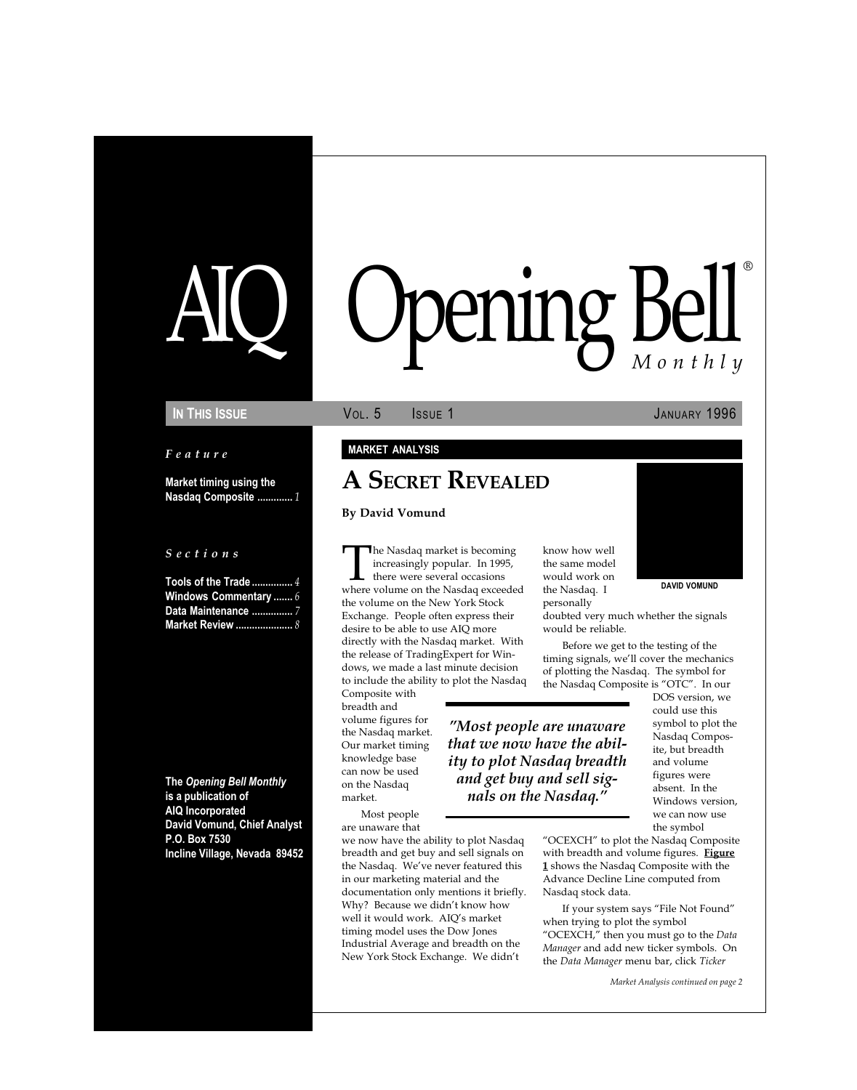# ening Bell ®

Feature

Market timing using the Nasdaq Composite ............. 1

#### S e c t i o n s

Tools of the Trade ................ 4 Windows Commentary ....... 6 Data Maintenance ......... Market Review ..............

The Opening Bell Monthly is a publication of AIQ Incorporated David Vomund, Chief Analyst P.O. Box 7530 Incline Village, Nevada 89452

#### IN THIS ISSUE **VOL. 5** ISSUE 1 JANUARY 1996

#### MARKET ANALYSIS

# A SECRET REVEALED

#### By David Vomund

The Nasdaq market is becoming<br>increasingly popular. In 1995,<br>there were several occasions<br>where volume on the Nasdaq exceeded increasingly popular. In 1995, there were several occasions the volume on the New York Stock Exchange. People often express their desire to be able to use AIQ more directly with the Nasdaq market. With the release of TradingExpert for Windows, we made a last minute decision to include the ability to plot the Nasdaq

we now have the ability to plot Nasdaq breadth and get buy and sell signals on the Nasdaq. We've never featured this in our marketing material and the documentation only mentions it briefly. Why? Because we didn't know how well it would work. AIQ's market timing model uses the Dow Jones Industrial Average and breadth on the New York Stock Exchange. We didn't

Composite with breadth and volume figures for the Nasdaq market. Our market timing knowledge base can now be used on the Nasdaq market.

Most people are unaware that know how well the same model would work on the Nasdaq. I personally

nals on the Nasdaq.



Before we get to the testing of the timing signals, we'll cover the mechanics of plotting the Nasdaq. The symbol for the Nasdaq Composite is "OTC". In our

> DOS version, we could use this symbol to plot the Nasdaq Composite, but breadth and volume figures were absent. In the Windows version, we can now use the symbol

"OCEXCH" to plot the Nasdaq Composite with breadth and volume figures. Figure 1 shows the Nasdaq Composite with the Advance Decline Line computed from Nasdaq stock data.

If your system says "File Not Found" when trying to plot the symbol "OCEXCH," then you must go to the Data Manager and add new ticker symbols. On the Data Manager menu bar, click Ticker

Market Analysis continued on page 2

DAVID VOMUND

Most people are unaware that we now have the ability to plot Nasdaq breadth and get buy and sell sig-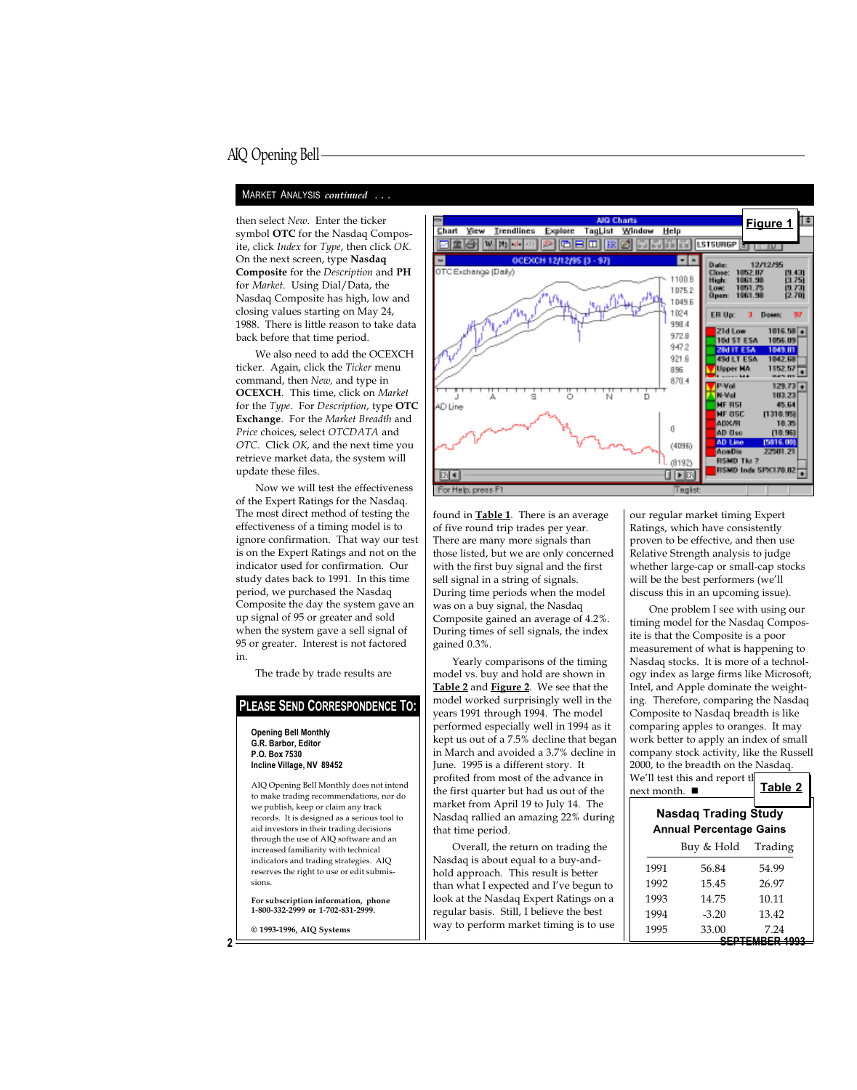#### MARKET ANALYSIS continued ...

symbol OTC for the Nasdaq Composite, click Index for Type, then click OK. On the next screen, type Nasdaq Composite for the Description and PH for Market. Using Dial/Data, the Nasdaq Composite has high, low and closing values starting on May 24, 1988. There is little reason to take data back before that time period.

We also need to add the OCEXCH ticker. Again, click the Ticker menu command, then New, and type in OCEXCH. This time, click on Market for the Type. For Description, type OTC Exchange. For the Market Breadth and Price choices, select OTCDATA and OTC. Click OK, and the next time you retrieve market data, the system will update these files.

Now we will test the effectiveness of the Expert Ratings for the Nasdaq. The most direct method of testing the effectiveness of a timing model is to ignore confirmation. That way our test is on the Expert Ratings and not on the indicator used for confirmation. Our study dates back to 1991. In this time period, we purchased the Nasdaq Composite the day the system gave an up signal of 95 or greater and sold when the system gave a sell signal of 95 or greater. Interest is not factored in.

The trade by trade results are

#### PLEASE SEND CORRESPONDENCE TO:

Opening Bell Monthly G.R. Barbor, Editor P.O. Box 7530 Incline Village, NV 89452



found in **Table 1**. There is an average of five round trip trades per year. There are many more signals than those listed, but we are only concerned with the first buy signal and the first sell signal in a string of signals. During time periods when the model was on a buy signal, the Nasdaq Composite gained an average of 4.2%. During times of sell signals, the index gained 0.3%.

Yearly comparisons of the timing model vs. buy and hold are shown in Table 2 and Figure 2. We see that the model worked surprisingly well in the years 1991 through 1994. The model performed especially well in 1994 as it kept us out of a 7.5% decline that began in March and avoided a 3.7% decline in June. 1995 is a different story. It profited from most of the advance in the first quarter but had us out of the market from April 19 to July 14. The Nasdaq rallied an amazing 22% during that time period.

our regular market timing Expert Ratings, which have consistently proven to be effective, and then use Relative Strength analysis to judge whether large-cap or small-cap stocks will be the best performers (we'll discuss this in an upcoming issue).

One problem I see with using our timing model for the Nasdaq Composite is that the Composite is a poor measurement of what is happening to Nasdaq stocks. It is more of a technology index as large firms like Microsoft, Intel, and Apple dominate the weighting. Therefore, comparing the Nasdaq Composite to Nasdaq breadth is like comparing apples to oranges. It may work better to apply an index of small company stock activity, like the Russell 2000, to the breadth on the Nasdaq.

| AIQ Opening Bell Monthly does not intend<br>to make trading recommendations, nor do<br>we publish, keep or claim any track | profited from most of the advance in<br>the first quarter but had us out of the<br>market from April 19 to July 14. The | next month. ■ | We'll test this and report the                                | Table 2                |
|----------------------------------------------------------------------------------------------------------------------------|-------------------------------------------------------------------------------------------------------------------------|---------------|---------------------------------------------------------------|------------------------|
| records. It is designed as a serious tool to<br>aid investors in their trading decisions                                   | Nasdaq rallied an amazing 22% during<br>that time period.                                                               |               | <b>Nasdaq Trading Study</b><br><b>Annual Percentage Gains</b> |                        |
| through the use of AIQ software and an<br>increased familiarity with technical                                             | Overall, the return on trading the                                                                                      |               | Buy & Hold                                                    | Trading                |
| indicators and trading strategies. AIQ<br>reserves the right to use or edit submis-                                        | Nasdaq is about equal to a buy-and-<br>hold approach. This result is better                                             | 1991          | 56.84                                                         | 54.99                  |
| sions.                                                                                                                     | than what I expected and I've begun to                                                                                  | 1992          | 15.45                                                         | 26.97                  |
| For subscription information, phone                                                                                        | look at the Nasdaq Expert Ratings on a                                                                                  | 1993          | 14.75                                                         | 10.11                  |
| 1-800-332-2999 or 1-702-831-2999.                                                                                          | regular basis. Still, I believe the best                                                                                | 1994          | $-3.20$                                                       | 13.42                  |
| © 1993-1996, AIQ Systems                                                                                                   | way to perform market timing is to use                                                                                  | 1995          | 33.00                                                         | 7.24<br>SEPTEMBER 1993 |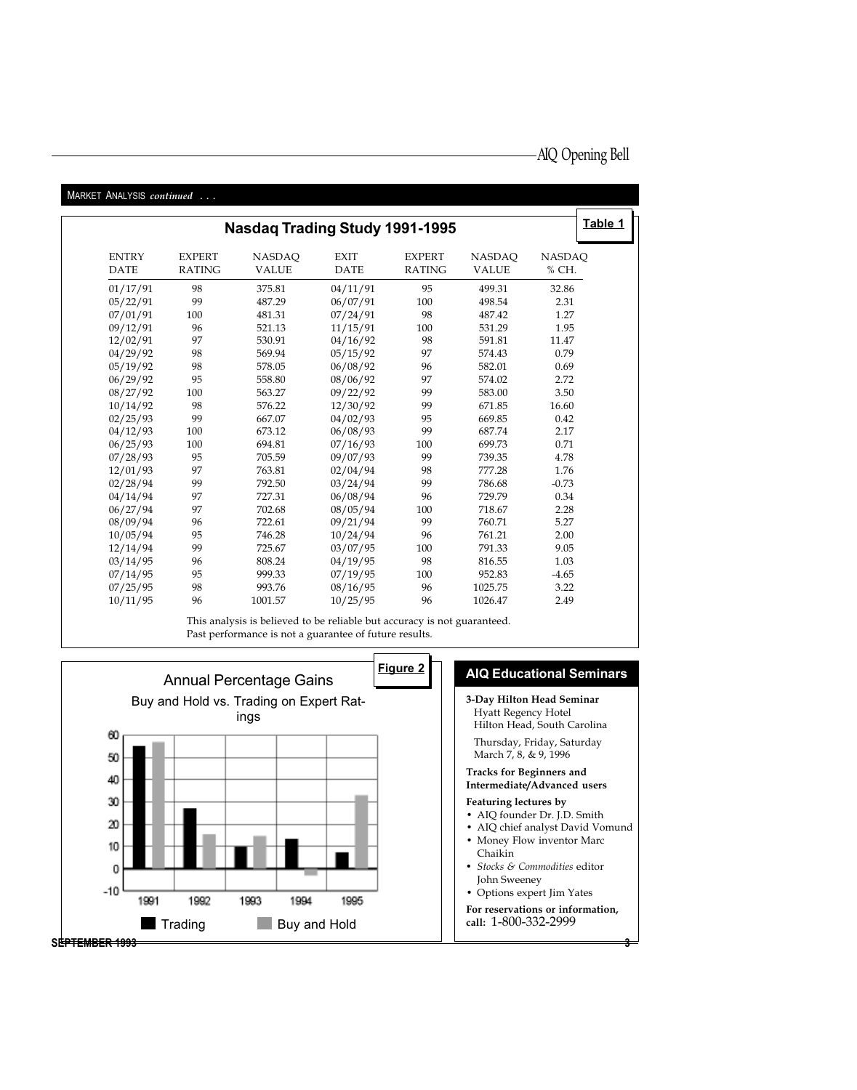| MARKET ANALYSIS continued   |                                |                                       |                            |                                |                               |                        |
|-----------------------------|--------------------------------|---------------------------------------|----------------------------|--------------------------------|-------------------------------|------------------------|
|                             |                                | <b>Nasdaq Trading Study 1991-1995</b> |                            |                                |                               | Table 1                |
| <b>ENTRY</b><br><b>DATE</b> | <b>EXPERT</b><br><b>RATING</b> | <b>NASDAQ</b><br><b>VALUE</b>         | <b>EXIT</b><br><b>DATE</b> | <b>EXPERT</b><br><b>RATING</b> | <b>NASDAQ</b><br><b>VALUE</b> | <b>NASDAQ</b><br>% CH. |
|                             |                                |                                       |                            |                                |                               |                        |
| 01/17/91                    | 98                             | 375.81                                | 04/11/91                   | 95                             | 499.31                        | 32.86                  |
| 05/22/91                    | 99                             | 487.29                                | 06/07/91                   | 100                            | 498.54                        | 2.31                   |
| 07/01/91                    | 100                            | 481.31                                | 07/24/91                   | 98                             | 487.42                        | 1.27                   |
| 09/12/91                    | 96                             | 521.13                                | 11/15/91                   | 100                            | 531.29                        | 1.95                   |
| 12/02/91                    | 97                             | 530.91                                | 04/16/92                   | 98                             | 591.81                        | 11.47                  |
| 04/29/92                    | 98                             | 569.94                                | 05/15/92                   | 97                             | 574.43                        | 0.79                   |
| 05/19/92                    | 98                             | 578.05                                | 06/08/92                   | 96                             | 582.01                        | 0.69                   |
| 06/29/92                    | 95                             | 558.80                                | 08/06/92                   | 97                             | 574.02                        | 2.72                   |
| 08/27/92                    | 100                            | 563.27                                | 09/22/92                   | 99                             | 583.00                        | 3.50                   |
| 10/14/92                    | 98                             | 576.22                                | 12/30/92                   | 99                             | 671.85                        | 16.60                  |
| 02/25/93                    | 99                             | 667.07                                | 04/02/93                   | 95                             | 669.85                        | 0.42                   |
| 04/12/93                    | 100                            | 673.12                                | 06/08/93                   | 99                             | 687.74                        | 2.17                   |
| 06/25/93                    | 100                            | 694.81                                | 07/16/93                   | 100                            | 699.73                        | 0.71                   |
| 07/28/93                    | 95                             | 705.59                                | 09/07/93                   | 99                             | 739.35                        | 4.78                   |
| 12/01/93                    | 97                             | 763.81                                | 02/04/94                   | 98                             | 777.28                        | 1.76                   |
| 02/28/94                    | 99                             | 792.50                                | 03/24/94                   | 99                             | 786.68                        | $-0.73$                |
| 04/14/94                    | 97                             | 727.31                                | 06/08/94                   | 96                             | 729.79                        | 0.34                   |
| 06/27/94                    | 97                             | 702.68                                | 08/05/94                   | 100                            | 718.67                        | 2.28                   |
| 08/09/94                    | 96                             | 722.61                                | 09/21/94                   | 99                             | 760.71                        | 5.27                   |
| 10/05/94                    | 95                             | 746.28                                | 10/24/94                   | 96                             | 761.21                        | 2.00                   |
| 12/14/94                    | 99                             | 725.67                                | 03/07/95                   | 100                            | 791.33                        | 9.05                   |
| 03/14/95                    | 96                             | 808.24                                | 04/19/95                   | 98                             | 816.55                        | 1.03                   |
| 07/14/95                    | 95                             | 999.33                                | 07/19/95                   | 100                            | 952.83                        | $-4.65$                |
| 07/25/95                    | 98                             | 993.76                                | 08/16/95                   | 96                             | 1025.75                       | 3.22                   |
| 10/11/95                    | 96                             | 1001.57                               | 10/25/95                   | 96                             | 1026.47                       | 2.49                   |

This analysis is believed to be reliable but accuracy is not guaranteed. Past performance is not a guarantee of future results.

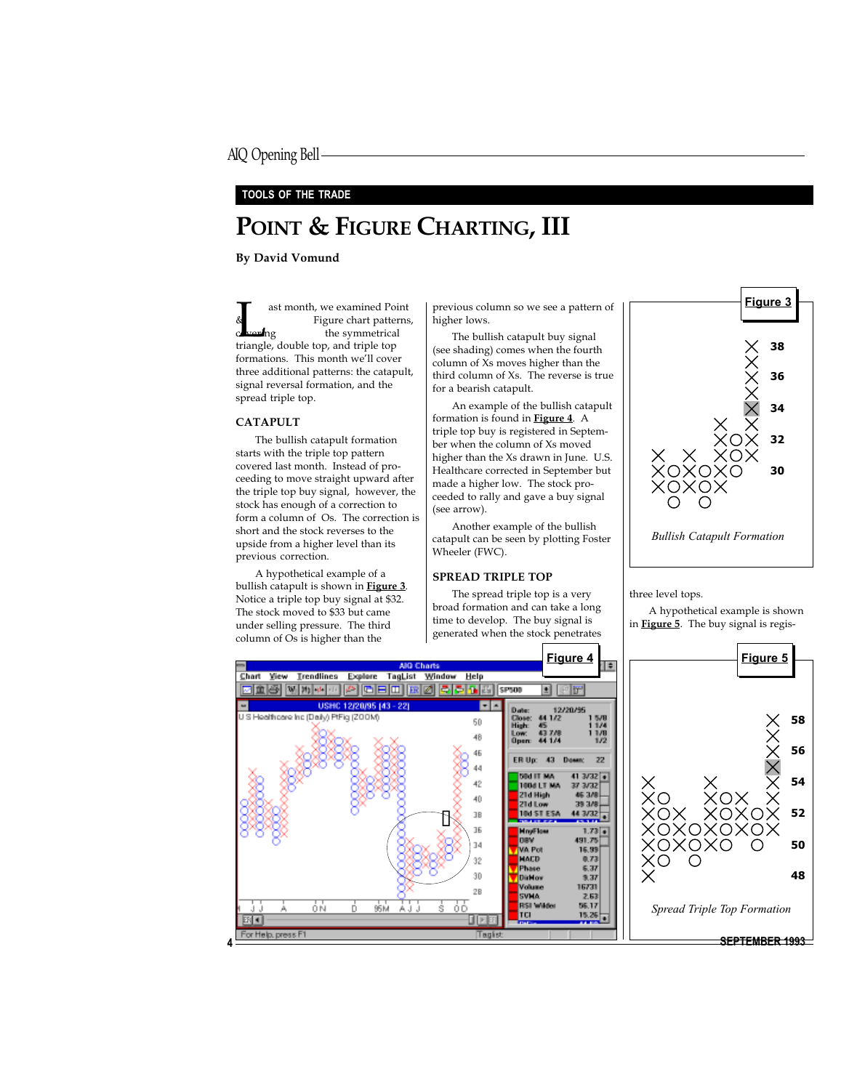#### TOOLS OF THE TRADE

# POINT & FIGURE CHARTING, III

By David Vomund

ast month, we examined Point<br>
Figure chart patterns<br>
triangle, double top, and triple top Figure chart patterns, **the symmetrical** formations. This month we'll cover three additional patterns: the catapult, signal reversal formation, and the spread triple top.

#### CATAPULT

The bullish catapult formation starts with the triple top pattern covered last month. Instead of proceeding to move straight upward after the triple top buy signal, however, the stock has enough of a correction to form a column of Os. The correction is short and the stock reverses to the upside from a higher level than its previous correction.

A hypothetical example of a bullish catapult is shown in **Figure 3**. Notice a triple top buy signal at \$32. The stock moved to \$33 but came under selling pressure. The third column of Os is higher than the

previous column so we see a pattern of higher lows.

The bullish catapult buy signal (see shading) comes when the fourth column of Xs moves higher than the third column of Xs. The reverse is true for a bearish catapult.

An example of the bullish catapult formation is found in Figure 4. A triple top buy is registered in September when the column of Xs moved higher than the Xs drawn in June. U.S. Healthcare corrected in September but made a higher low. The stock proceeded to rally and gave a buy signal (see arrow).

Another example of the bullish catapult can be seen by plotting Foster Wheeler (FWC).

#### SPREAD TRIPLE TOP

The spread triple top is a very broad formation and can take a long time to develop. The buy signal is generated when the stock penetrates



three level tops.

A hypothetical example is shown in **Figure 5**. The buy signal is regis-

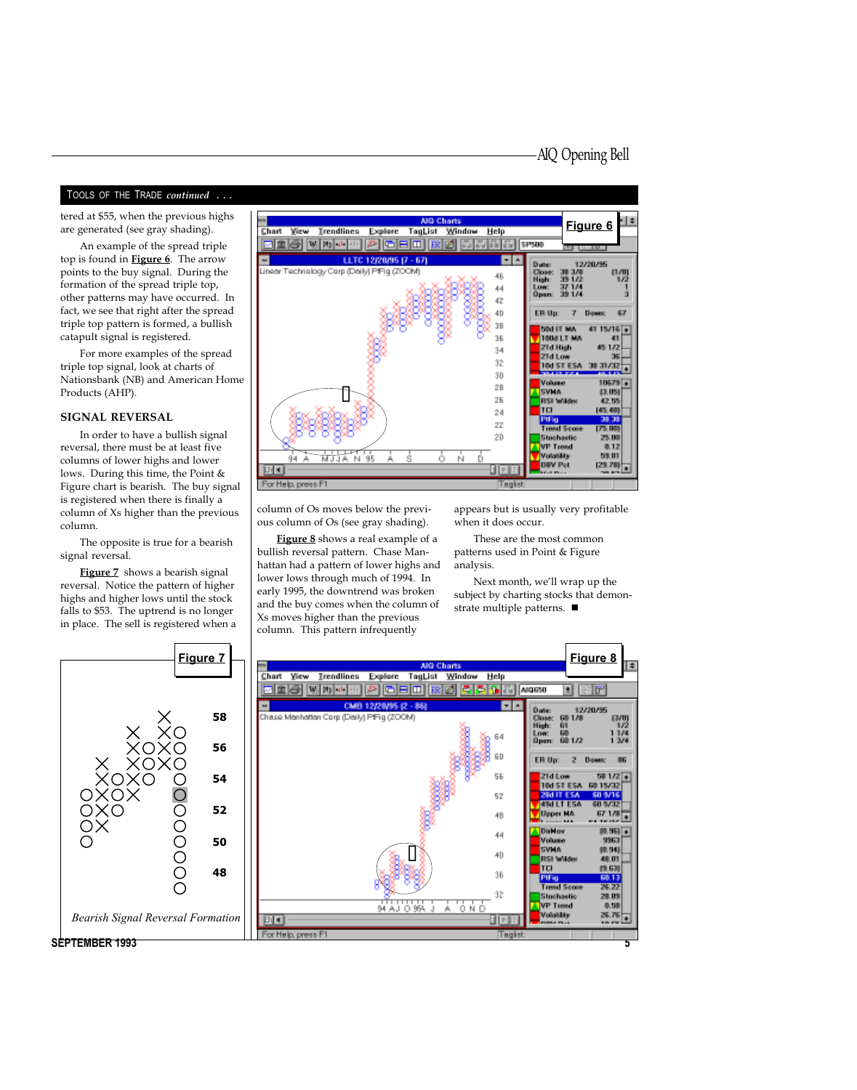#### TOOLS OF THE TRADE continued ...

tered at \$55, when the previous highs are generated (see gray shading).

An example of the spread triple top is found in **Figure 6**. The arrow points to the buy signal. During the formation of the spread triple top, other patterns may have occurred. In fact, we see that right after the spread triple top pattern is formed, a bullish catapult signal is registered.

For more examples of the spread triple top signal, look at charts of Nationsbank (NB) and American Home Products (AHP).

#### SIGNAL REVERSAL

In order to have a bullish signal reversal, there must be at least five columns of lower highs and lower lows. During this time, the Point & Figure chart is bearish. The buy signal is registered when there is finally a column of Xs higher than the previous column.

The opposite is true for a bearish signal reversal.

Figure 7 shows a bearish signal reversal. Notice the pattern of higher highs and higher lows until the stock falls to \$53. The uptrend is no longer in place. The sell is registered when a



column of Os moves below the previous column of Os (see gray shading).

Figure 8 shows a real example of a bullish reversal pattern. Chase Manhattan had a pattern of lower highs and lower lows through much of 1994. In early 1995, the downtrend was broken and the buy comes when the column of Xs moves higher than the previous column. This pattern infrequently

appears but is usually very profitable when it does occur.

These are the most common patterns used in Point & Figure analysis.

Next month, we'll wrap up the subject by charting stocks that demonstrate multiple patterns.  $\blacksquare$ 



SEPTEMBER 1993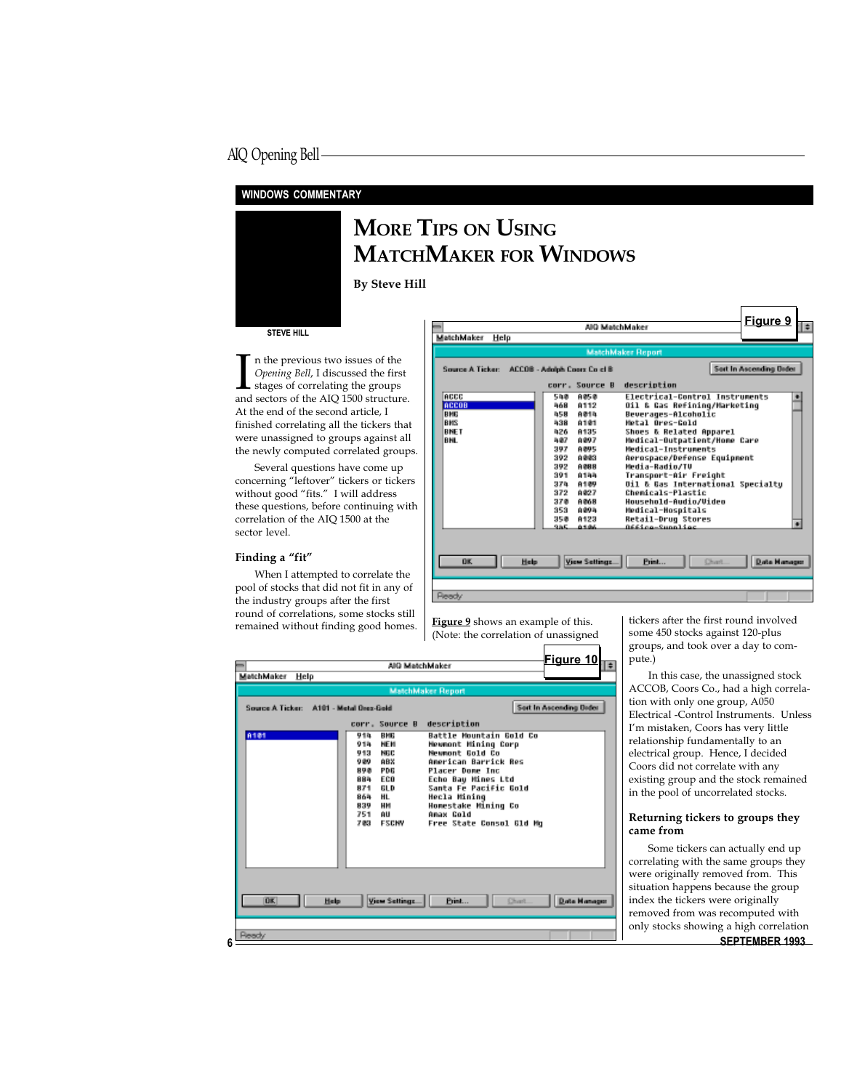#### WINDOWS COMMENTARY



## MORE TIPS ON USING MATCHMAKER FOR WINDOWS

By Steve Hill

#### STEVE HILL

In the previous two issues of the *Opening Bell*, I discussed the first stages of correlating the groups and sectors of the AIQ 1500 structure. n the previous two issues of the Opening Bell, I discussed the first stages of correlating the groups At the end of the second article, I finished correlating all the tickers that were unassigned to groups against all the newly computed correlated groups.

Several questions have come up concerning "leftover" tickers or tickers without good "fits." I will address these questions, before continuing with correlation of the AIQ 1500 at the sector level.

#### Finding a "fit"

When I attempted to correlate the pool of stocks that did not fit in any of the industry groups after the first round of correlations, some stocks still remained without finding good homes.  $\frac{Figure 9}{QV}$  shows an example of this.

| <b>MatchMaker</b><br>Help                                                     | ABD Matchklaice                                                                                                                                                                                                                                                                      |                                                                                                                                                                                                                                                                                                                                                                                                                       | Figure 9                       |
|-------------------------------------------------------------------------------|--------------------------------------------------------------------------------------------------------------------------------------------------------------------------------------------------------------------------------------------------------------------------------------|-----------------------------------------------------------------------------------------------------------------------------------------------------------------------------------------------------------------------------------------------------------------------------------------------------------------------------------------------------------------------------------------------------------------------|--------------------------------|
|                                                                               |                                                                                                                                                                                                                                                                                      |                                                                                                                                                                                                                                                                                                                                                                                                                       |                                |
|                                                                               |                                                                                                                                                                                                                                                                                      | <b>MatchMaker Report</b>                                                                                                                                                                                                                                                                                                                                                                                              |                                |
| Source A Ticker: ACCOB - Adolph Coors Co cl B                                 |                                                                                                                                                                                                                                                                                      |                                                                                                                                                                                                                                                                                                                                                                                                                       | <b>Sert in Assemting Delay</b> |
|                                                                               | corr. Source B                                                                                                                                                                                                                                                                       | description                                                                                                                                                                                                                                                                                                                                                                                                           |                                |
| <b>ACCC</b><br><b>Beens</b><br><b>RHR</b><br>lanes<br><b>RNET</b><br>la Hilli | 588<br>自肠垂<br>8112<br>568<br><b>Airla</b><br>558<br>8181<br>538<br>8135<br>826<br>A 897<br>5.87<br><b>BIRGS</b><br>397<br>302<br>0.003<br>392<br>自由日本<br>391<br>6155<br>A109<br>37 h<br>372<br>0.027<br>タア語<br>有价值额<br>353<br><b>0.00 N</b><br>8123<br>习写面<br>985.<br><b>WARRANT</b> | Electrical-Control Instruments<br>011 & Gas Refining/Marketing<br>Beverages-Alcoholic<br>Motal Neos-Cold<br>Shoes & Related Apparel<br>Medical-Outpatient/Home Care<br>Medical-Instruments<br>Aerospace/Defense Equipment<br>Hedia-Badin/TV<br>Transport-Air Freight<br>Oil & Gas International Specialtu<br>Chomicals-Plastic<br>Housebold-Audio/Uideo<br>Medical-Hospitals<br>Retail-Drug Stores<br>0661co-2upplier | БŃ                             |
| <b>OK</b><br>Highs:                                                           | View Settings                                                                                                                                                                                                                                                                        | Print<br>Chart                                                                                                                                                                                                                                                                                                                                                                                                        | Data Hannoo                    |
| <b>Pleased of</b>                                                             |                                                                                                                                                                                                                                                                                      |                                                                                                                                                                                                                                                                                                                                                                                                                       |                                |

(Note: the correlation of unassigned

|                                         | AIO MatchMaker                                                                                                                   |                                                                                                                             | <b>Figure 10</b><br>÷          |
|-----------------------------------------|----------------------------------------------------------------------------------------------------------------------------------|-----------------------------------------------------------------------------------------------------------------------------|--------------------------------|
| MatchMaker Help                         |                                                                                                                                  |                                                                                                                             |                                |
|                                         |                                                                                                                                  | <b>MatchMaker Report</b>                                                                                                    |                                |
| Source A Ticker: A101 - Metal Beer-Beld |                                                                                                                                  |                                                                                                                             | <b>Sett In Assending Defer</b> |
| 8101                                    | corr. Source B description<br>910.<br><b>BHB</b><br><b>NEM</b><br>918.<br><b>NBC</b><br>9.17<br>ABX<br>9,89<br><b>PDB</b><br>見見直 | Battle Mountain Bold Co<br><b>Mewmont Mining Corp</b><br>Memmont Bold Co<br>American Barrick Res<br><b>Placer Dome Inc</b>  |                                |
|                                         | ECO<br>88%<br>BLD.<br>871<br>HL.<br>865.<br>HH<br>839<br>- AU<br>751<br><b>ESCHM</b><br>2個別                                      | Echo Bay Mines Ltd<br>Santa Fe Pacific Bold<br>Hecla Mining<br>Homestake Mining Co<br>Amax Cold<br>Free State Consol 81d Mo |                                |
| <b>DE</b><br>High-                      | <b>View Settings</b>                                                                                                             | Print<br><b>Church</b>                                                                                                      | Data Hannoo                    |
| <b>Pleach/</b>                          |                                                                                                                                  |                                                                                                                             |                                |

tickers after the first round involved some 450 stocks against 120-plus groups, and took over a day to compute.)

In this case, the unassigned stock ACCOB, Coors Co., had a high correlation with only one group, A050 Electrical -Control Instruments. Unless Im mistaken, Coors has very little relationship fundamentally to an electrical group. Hence, I decided Coors did not correlate with any existing group and the stock remained in the pool of uncorrelated stocks.

#### Returning tickers to groups they came from

SEPTEMBER 1993 Some tickers can actually end up correlating with the same groups they were originally removed from. This situation happens because the group index the tickers were originally removed from was recomputed with only stocks showing a high correlation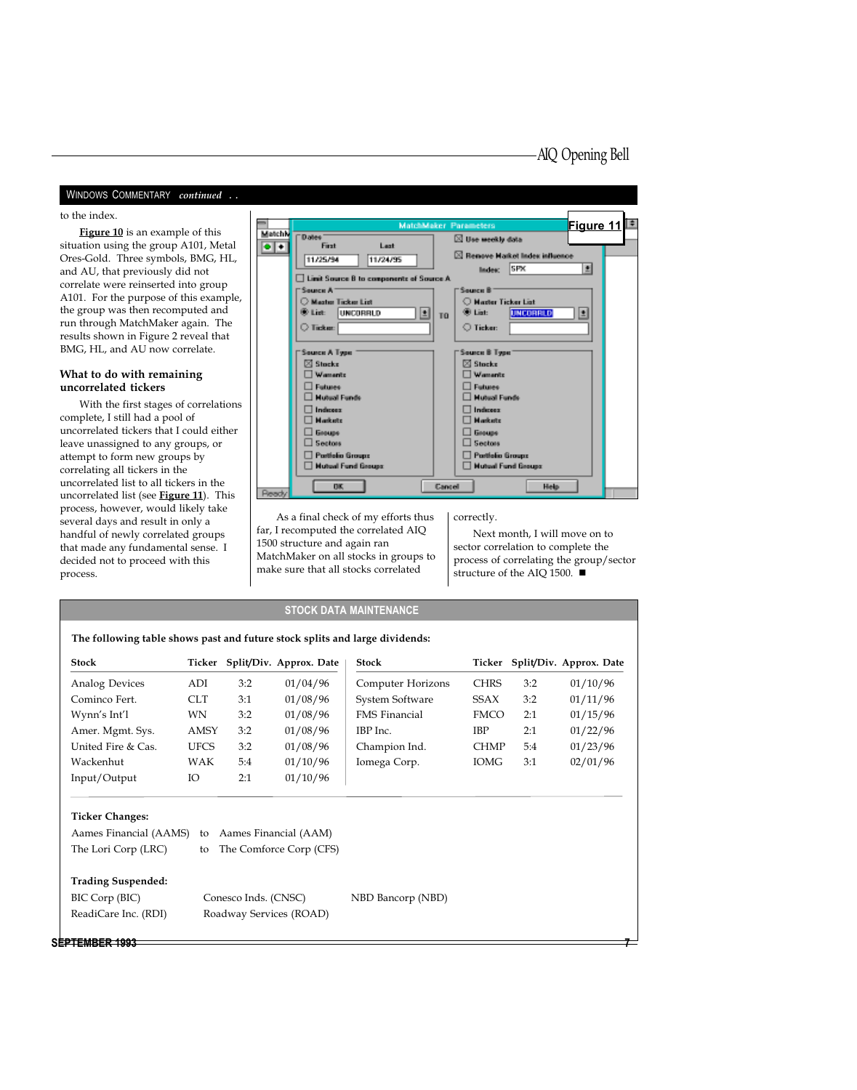#### WINDOWS COMMENTARY continued ..

## . to the index.

Figure 10 is an example of this situation using the group A101, Metal Ores-Gold. Three symbols, BMG, HL, and AU, that previously did not correlate were reinserted into group A101. For the purpose of this example, the group was then recomputed and run through MatchMaker again. The results shown in Figure 2 reveal that BMG, HL, and AU now correlate.

#### What to do with remaining uncorrelated tickers

With the first stages of correlations complete, I still had a pool of uncorrelated tickers that I could either leave unassigned to any groups, or attempt to form new groups by correlating all tickers in the uncorrelated list to all tickers in the uncorrelated list (see **Figure 11**). This process, however, would likely take several days and result in only a handful of newly correlated groups that made any fundamental sense. I decided not to proceed with this process.

| $\equiv$         |                                          | Figure 11 <sup>1</sup><br>MatchMaker Parameters |  |
|------------------|------------------------------------------|-------------------------------------------------|--|
| MatchN           | <b>Dates</b><br>First:<br>Leat           | <b>S</b> Use weekly data                        |  |
| $\bullet\bullet$ |                                          | ⊠ Remove Harket Index influence                 |  |
|                  | 11/25/94<br>11/24/95                     | 画<br><b>SPX</b><br>liadea:                      |  |
|                  | Limit Source B to components of Source A |                                                 |  |
|                  | "Source A"                               | Seurce B                                        |  |
|                  | C Master Ticker List                     | C Master Ticker List                            |  |
|                  | (B) List:<br>luvonesuo<br>회              | (B) List:<br>UNCORRED<br>土<br>TO <sub>1</sub>   |  |
|                  | <b>O</b> Ticket:                         | <b>O</b> Ticker:                                |  |
|                  |                                          |                                                 |  |
|                  | Source A Type                            | Source B Tweet                                  |  |
|                  | $\boxtimes$ Stocks                       | Stocks:<br>ľМ                                   |  |
|                  | Wamanto                                  | Wamanto                                         |  |
|                  | Futunes:                                 | Futunes:                                        |  |
|                  | <b>Hutsel Funds</b>                      | Mutual Funds                                    |  |
|                  | Indianae:<br><b>Marshalts</b>            | Indexec.<br>Marketz                             |  |
|                  | <b>General</b>                           | <b>General</b>                                  |  |
|                  | Seators:                                 | Seatons:                                        |  |
|                  | <b>Portfolio Groups</b>                  | <b>Portfolio Groups</b>                         |  |
|                  | <b>Hutsal Fund Groups:</b>               | <b>Hutsal Fund Groups:</b>                      |  |
|                  |                                          |                                                 |  |
| <b>Pleasch/</b>  | <b>TIK</b>                               | <b>Hete</b><br><b>Dannell</b>                   |  |
|                  |                                          |                                                 |  |

As a final check of my efforts thus far, I recomputed the correlated AIQ 1500 structure and again ran MatchMaker on all stocks in groups to make sure that all stocks correlated

correctly.

Next month, I will move on to sector correlation to complete the process of correlating the group/sector structure of the AIQ 1500.  $\blacksquare$ 

#### STOCK DATA MAINTENANCE

#### The following table shows past and future stock splits and large dividends:

| <b>Stock</b>          | Ticker      |     | Split/Div. Approx. Date | <b>Stock</b>             | Ticker      |     | Split/Div. Approx. Date |
|-----------------------|-------------|-----|-------------------------|--------------------------|-------------|-----|-------------------------|
| <b>Analog Devices</b> | ADI         | 3:2 | 01/04/96                | <b>Computer Horizons</b> | <b>CHRS</b> | 3:2 | 01/10/96                |
| Cominco Fert.         | <b>CLT</b>  | 3:1 | 01/08/96                | System Software          | <b>SSAX</b> | 3:2 | 01/11/96                |
| Wynn's Int'l          | WN          | 3:2 | 01/08/96                | <b>FMS</b> Financial     | <b>FMCO</b> | 2:1 | 01/15/96                |
| Amer. Mgmt. Sys.      | <b>AMSY</b> | 3:2 | 01/08/96                | IBP Inc.                 | IBP         | 2:1 | 01/22/96                |
| United Fire & Cas.    | <b>UFCS</b> | 3:2 | 01/08/96                | Champion Ind.            | <b>CHMP</b> | 5:4 | 01/23/96                |
| Wackenhut             | WAK         | 5:4 | 01/10/96                | Iomega Corp.             | <b>IOMG</b> | 3:1 | 02/01/96                |
| Input/Output          | Ю           | 2:1 | 01/10/96                |                          |             |     |                         |

#### Ticker Changes:

| The Lori Corp (LRC)                                                 | Aames Financial (AAMS) to Aames Financial (AAM)<br>to The Comforce Corp (CFS) |                   |
|---------------------------------------------------------------------|-------------------------------------------------------------------------------|-------------------|
| <b>Trading Suspended:</b><br>BIC Corp (BIC)<br>ReadiCare Inc. (RDI) | Conesco Inds. (CNSC)<br>Roadway Services (ROAD)                               | NBD Bancorp (NBD) |

#### SEPTEMBER 1993